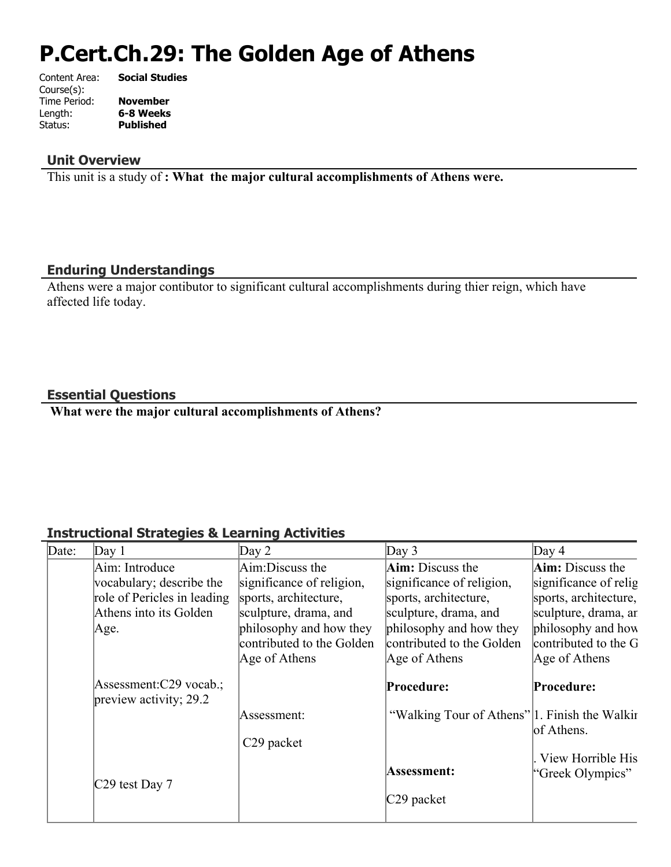# **P.Cert.Ch.29: The Golden Age of Athens**

| Content Area: | <b>Social Studies</b> |
|---------------|-----------------------|
| Course(s):    |                       |
| Time Period:  | <b>November</b>       |
| Length:       | 6-8 Weeks             |
| Status:       | <b>Published</b>      |
|               |                       |

#### **Unit Overview**

This unit is a study of **: What the major cultural accomplishments of Athens were.**

#### **Enduring Understandings**

Athens were a major contibutor to significant cultural accomplishments during thier reign, which have affected life today.

## **Essential Questions**

 **What were the major cultural accomplishments of Athens?**

## **Instructional Strategies & Learning Activities**

| Date: | Day 1                                              | Day $2$                   | Day $3$                                       | Day $4$                 |
|-------|----------------------------------------------------|---------------------------|-----------------------------------------------|-------------------------|
|       | Aim: Introduce                                     | Aim:Discuss the           | Aim: Discuss the                              | <b>Aim:</b> Discuss the |
|       | vocabulary; describe the                           | significance of religion, | significance of religion,                     | significance of relig   |
|       | role of Pericles in leading                        | sports, architecture,     | sports, architecture,                         | sports, architecture,   |
|       | Athens into its Golden                             | sculpture, drama, and     | sculpture, drama, and                         | sculpture, drama, ar    |
|       | Age.                                               | philosophy and how they   | philosophy and how they                       | philosophy and how      |
|       |                                                    | contributed to the Golden | contributed to the Golden                     | contributed to the G    |
|       |                                                    | Age of Athens             | Age of Athens                                 | Age of Athens           |
|       | Assessment:C29 vocab.;<br>preview activity; $29.2$ |                           | Procedure:                                    | Procedure:              |
|       |                                                    | Assessment:               | "Walking Tour of Athens" 1. Finish the Walkin | of Athens.              |
|       |                                                    | C <sub>29</sub> packet    |                                               |                         |
|       |                                                    |                           |                                               | View Horrible His       |
|       |                                                    |                           | Assessment:                                   | "Greek Olympics"        |
|       | C29 test Day 7                                     |                           | C29 packet                                    |                         |
|       |                                                    |                           |                                               |                         |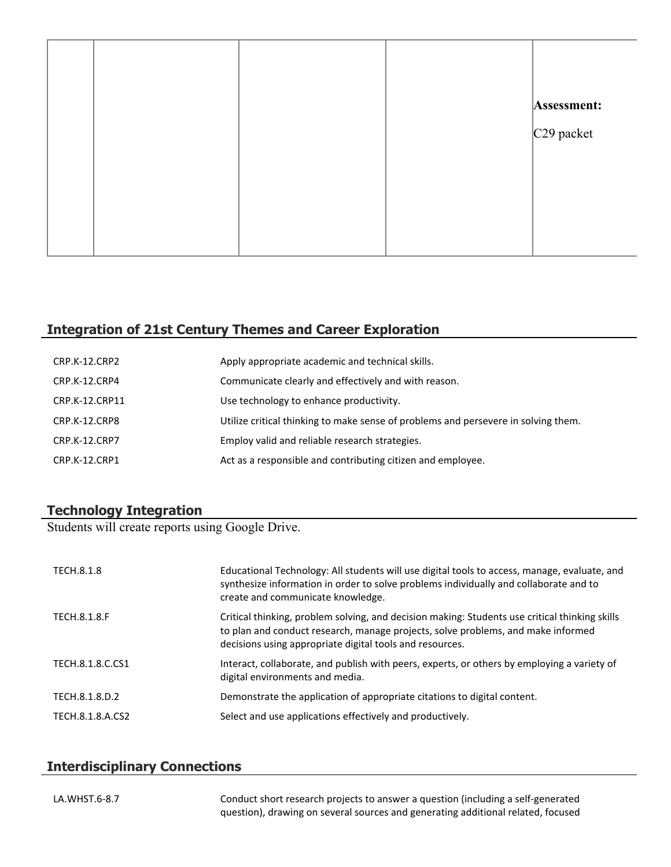|  |  | Assessment:  |
|--|--|--------------|
|  |  | $C29$ packet |
|  |  |              |
|  |  |              |
|  |  |              |
|  |  |              |

## **Integration of 21st Century Themes and Career Exploration**

| CRP.K-12.CRP2        | Apply appropriate academic and technical skills.                                   |
|----------------------|------------------------------------------------------------------------------------|
| CRP.K-12.CRP4        | Communicate clearly and effectively and with reason.                               |
| CRP.K-12.CRP11       | Use technology to enhance productivity.                                            |
| CRP.K-12.CRP8        | Utilize critical thinking to make sense of problems and persevere in solving them. |
| <b>CRP.K-12.CRP7</b> | Employ valid and reliable research strategies.                                     |
| CRP.K-12.CRP1        | Act as a responsible and contributing citizen and employee.                        |

#### **Technology Integration**

Students will create reports using Google Drive.

| TECH.8.1.8          | Educational Technology: All students will use digital tools to access, manage, evaluate, and<br>synthesize information in order to solve problems individually and collaborate and to<br>create and communicate knowledge.                     |
|---------------------|------------------------------------------------------------------------------------------------------------------------------------------------------------------------------------------------------------------------------------------------|
| <b>TECH.8.1.8.F</b> | Critical thinking, problem solving, and decision making: Students use critical thinking skills<br>to plan and conduct research, manage projects, solve problems, and make informed<br>decisions using appropriate digital tools and resources. |
| TECH.8.1.8.C.CS1    | Interact, collaborate, and publish with peers, experts, or others by employing a variety of<br>digital environments and media.                                                                                                                 |
| TECH.8.1.8.D.2      | Demonstrate the application of appropriate citations to digital content.                                                                                                                                                                       |
| TECH.8.1.8.A.CS2    | Select and use applications effectively and productively.                                                                                                                                                                                      |

## **Interdisciplinary Connections**

LA.WHST.6-8.7 Conduct short research projects to answer a question (including a self-generated question), drawing on several sources and generating additional related, focused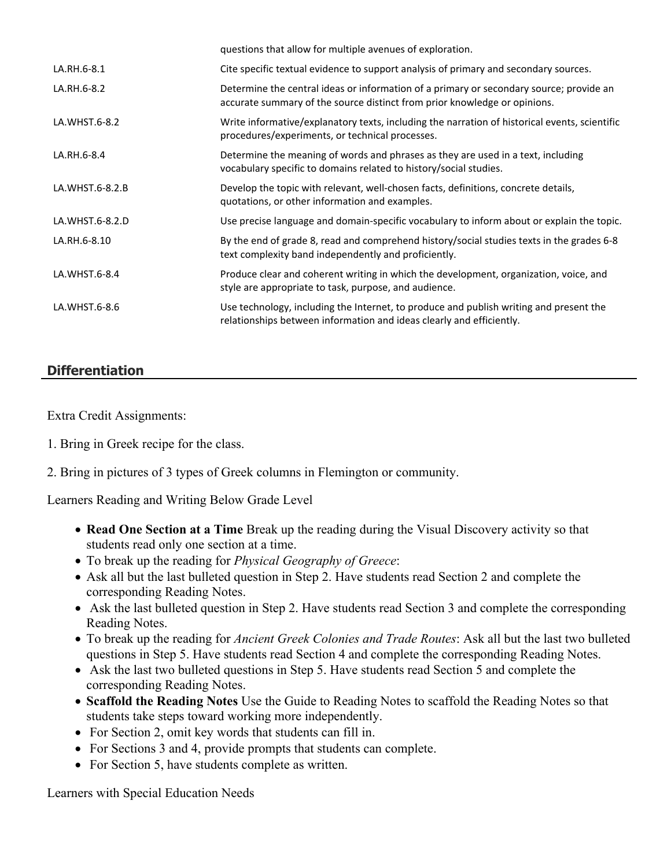|                 | questions that allow for multiple avenues of exploration.                                                                                                            |
|-----------------|----------------------------------------------------------------------------------------------------------------------------------------------------------------------|
| LA.RH.6-8.1     | Cite specific textual evidence to support analysis of primary and secondary sources.                                                                                 |
| LA.RH.6-8.2     | Determine the central ideas or information of a primary or secondary source; provide an<br>accurate summary of the source distinct from prior knowledge or opinions. |
| LA.WHST.6-8.2   | Write informative/explanatory texts, including the narration of historical events, scientific<br>procedures/experiments, or technical processes.                     |
| LA.RH.6-8.4     | Determine the meaning of words and phrases as they are used in a text, including<br>vocabulary specific to domains related to history/social studies.                |
| LA.WHST.6-8.2.B | Develop the topic with relevant, well-chosen facts, definitions, concrete details,<br>quotations, or other information and examples.                                 |
| LA.WHST.6-8.2.D | Use precise language and domain-specific vocabulary to inform about or explain the topic.                                                                            |
| LA.RH.6-8.10    | By the end of grade 8, read and comprehend history/social studies texts in the grades 6-8<br>text complexity band independently and proficiently.                    |
| LA.WHST.6-8.4   | Produce clear and coherent writing in which the development, organization, voice, and<br>style are appropriate to task, purpose, and audience.                       |
| LA.WHST.6-8.6   | Use technology, including the Internet, to produce and publish writing and present the<br>relationships between information and ideas clearly and efficiently.       |

# **Differentiation**

Extra Credit Assignments:

1. Bring in Greek recipe for the class.

2. Bring in pictures of 3 types of Greek columns in Flemington or community.

Learners Reading and Writing Below Grade Level

- **Read One Section at a Time** Break up the reading during the Visual Discovery activity so that students read only one section at a time.
- To break up the reading for *Physical Geography of Greece*:
- Ask all but the last bulleted question in Step 2. Have students read Section 2 and complete the corresponding Reading Notes.
- Ask the last bulleted question in Step 2. Have students read Section 3 and complete the corresponding Reading Notes.
- To break up the reading for *Ancient Greek Colonies and Trade Routes*: Ask all but the last two bulleted questions in Step 5. Have students read Section 4 and complete the corresponding Reading Notes.
- Ask the last two bulleted questions in Step 5. Have students read Section 5 and complete the corresponding Reading Notes.
- **Scaffold the Reading Notes** Use the Guide to Reading Notes to scaffold the Reading Notes so that students take steps toward working more independently.
- For Section 2, omit key words that students can fill in.
- For Sections 3 and 4, provide prompts that students can complete.
- For Section 5, have students complete as written.

Learners with Special Education Needs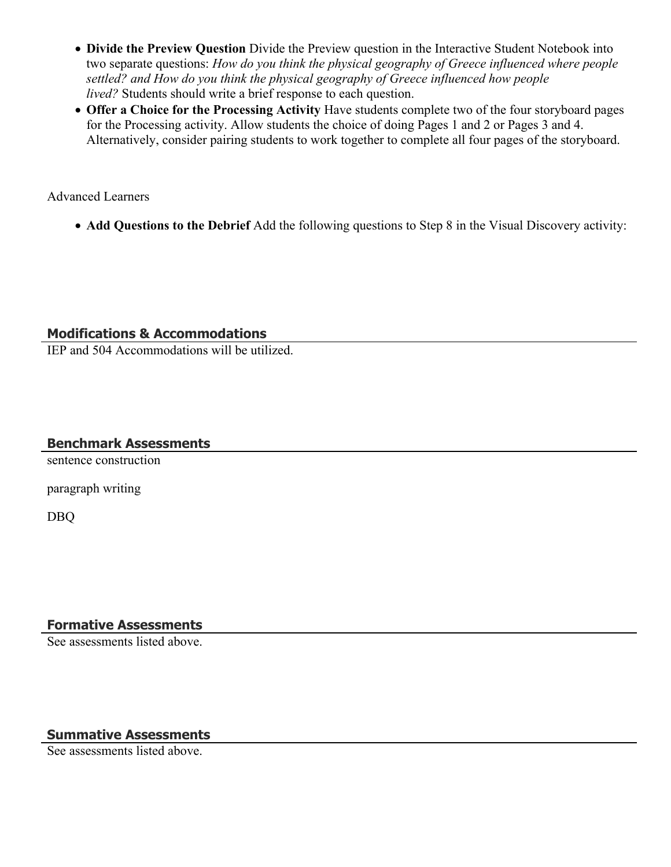- **Divide the Preview Question** Divide the Preview question in the Interactive Student Notebook into two separate questions: *How do you think the physical geography of Greece influenced where people settled? and How do you think the physical geography of Greece influenced how people lived?* Students should write a brief response to each question.
- **Offer a Choice for the Processing Activity** Have students complete two of the four storyboard pages for the Processing activity. Allow students the choice of doing Pages 1 and 2 or Pages 3 and 4. Alternatively, consider pairing students to work together to complete all four pages of the storyboard.

Advanced Learners

**Add Questions to the Debrief** Add the following questions to Step 8 in the Visual Discovery activity:

## **Modifications & Accommodations**

IEP and 504 Accommodations will be utilized.

## **Benchmark Assessments**

sentence construction

paragraph writing

DBQ

# **Formative Assessments**

See assessments listed above.

# **Summative Assessments**

See assessments listed above.